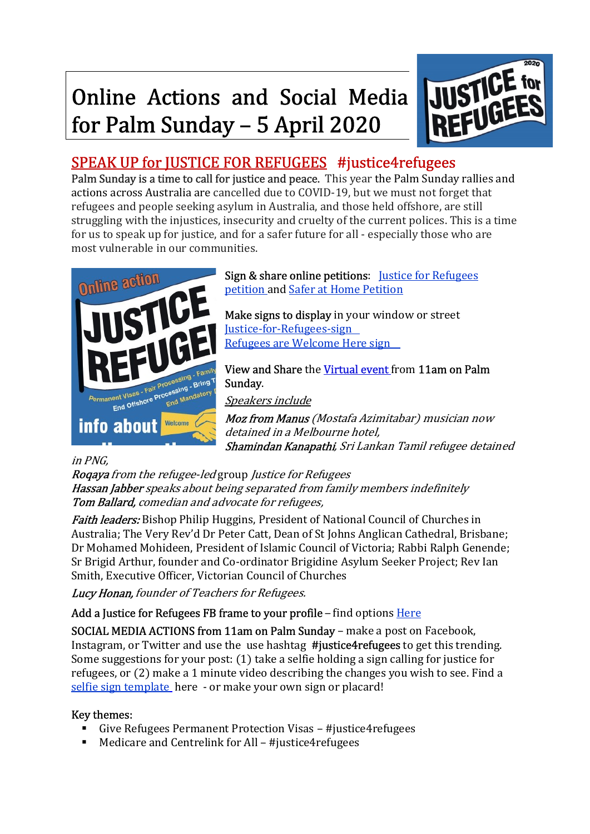# **Online Actions and Social Media** for Palm Sunday - 5 April 2020



### SPEAK UP for JUSTICE FOR REFUGEES #justice4refugees

Palm Sunday is a time to call for justice and peace. This year the Palm Sunday rallies and actions across Australia are cancelled due to COVID-19, but we must not forget that refugees and people seeking asylum in Australia, and those held offshore, are still struggling with the injustices, insecurity and cruelty of the current polices. This is a time for us to speak up for justice, and for a safer future for all - especially those who are most vulnerable in our communities.



Sign & share online petitions: Justice for Refugees petition and Safer at Home Petition

Make signs to display in your window or street Justice-for-Refugees-sign Refugees are Welcome Here sign

View and Share the Virtual event from 11am on Palm Sunday.

Speakers include

Moz from Manus (Mostafa Azimitabar) musician now detained in a Melbourne hotel, Shamindan Kanapathi, Sri Lankan Tamil refugee detained

#### in PNG,

Roqaya from the refugee-led group Justice for Refugees Hassan Jabber speaks about being separated from family members indefinitely Tom Ballard, comedian and advocate for refugees,

**Faith leaders:** Bishop Philip Huggins, President of National Council of Churches in Australia; The Very Rev'd Dr Peter Catt, Dean of St Johns Anglican Cathedral, Brisbane; Dr Mohamed Mohideen, President of Islamic Council of Victoria; Rabbi Ralph Genende; Sr Brigid Arthur, founder and Co-ordinator Brigidine Asylum Seeker Project; Rev Ian Smith, Executive Officer, Victorian Council of Churches

Lucy Honan, founder of Teachers for Refugees.

Add a Justice for Refugees FB frame to your profile – find options Here

SOCIAL MEDIA ACTIONS from 11am on Palm Sunday – make a post on Facebook, Instagram, or Twitter and use the use hashtag #justice4refugees to get this trending. Some suggestions for your post: (1) take a selfie holding a sign calling for justice for refugees, or (2) make a 1 minute video describing the changes you wish to see. Find a selfie sign template here - or make your own sign or placard!

### **Key themes:**<br> $\overline{G}$  **Kive Re**

- Give Refugees Permanent Protection Visas #justice4refugees
- Medicare and Centrelink for All #justice4refugees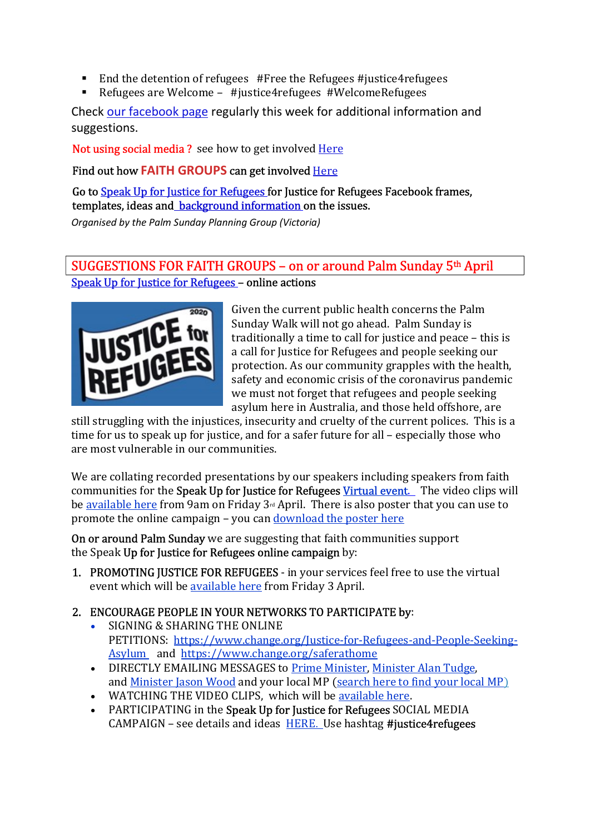- End the detention of refugees #Free the Refugees #justice4refugees
- Refugees are Welcome #justice4refugees #WelcomeRefugees

Check our facebook page regularly this week for additional information and suggestions.

Not using social media ? see how to get involved Here

Find out how FAITH GROUPS can get involved Here

Go to **Speak Up for Justice for Refugees for Justice for Refugees Facebook frames,** templates, ideas and background information on the issues.

Organised by the Palm Sunday Planning Group (Victoria)

#### SUGGESTIONS FOR FAITH GROUPS – on or around Palm Sunday 5th April Speak Up for Justice for Refugees – online actions



Given the current public health concerns the Palm Sunday Walk will not go ahead. Palm Sunday is traditionally a time to call for justice and peace – this is a call for Justice for Refugees and people seeking our protection. As our community grapples with the health, safety and economic crisis of the coronavirus pandemic we must not forget that refugees and people seeking asylum here in Australia, and those held offshore, are

still struggling with the injustices, insecurity and cruelty of the current polices. This is a time for us to speak up for justice, and for a safer future for all – especially those who are most vulnerable in our communities.

We are collating recorded presentations by our speakers including speakers from faith communities for the Speak Up for Justice for Refugees Virtual event. The video clips will be available here from 9am on Friday 3rd April. There is also poster that you can use to promote the online campaign – you can download the poster here

On or around Palm Sunday we are suggesting that faith communities support the Speak Up for Justice for Refugees online campaign by:

1. PROMOTING JUSTICE FOR REFUGEES - in your services feel free to use the virtual event which will be available here from Friday 3 April.

## 2. ENCOURAGE PEOPLE IN YOUR NETWORKS TO PARTICIPATE by:<br>SIGNING & SHARING THE ONLINE

- SIGNING & SHARING THE ONLINE PETITIONS: https://www.change.org/Justice-for-Refugees-and-People-Seeking-Asylum and https://www.change.org/saferathome
- DIRECTLY EMAILING MESSAGES to Prime Minister, Minister Alan Tudge, and Minister Jason Wood and your local MP (search here to find your local MP)
- WATCHING THE VIDEO CLIPS, which will be available here.<br>• PARTICIPATING in the Speak Up for Justice for Refugees SOCI
- PARTICIPATING in the Speak Up for Justice for Refugees SOCIAL MEDIA CAMPAIGN – see details and ideas  $HERE$ . Use hashtag #justice4refugees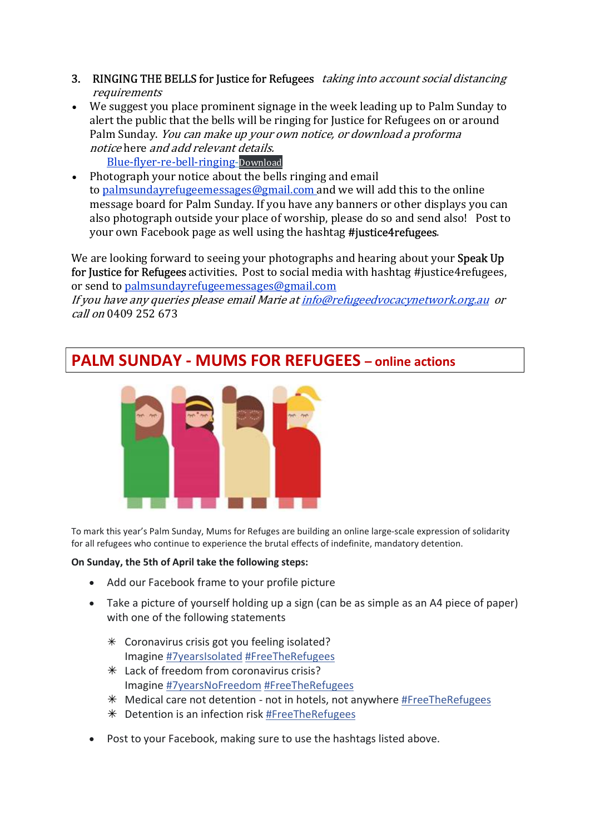- 3. RINGING THE BELLS for Justice for Refugees taking into account social distancing requirements
- We suggest you place prominent signage in the week leading up to Palm Sunday to alert the public that the bells will be ringing for Justice for Refugees on or around Palm Sunday. You can make up your own notice, or download a proforma notice here and add relevant details. Blue-flyer-re-bell-ringing-Download
- Photograph your notice about the bells ringing and email to palmsundayrefugeemessages@gmail.com and we will add this to the online message board for Palm Sunday. If you have any banners or other displays you can also photograph outside your place of worship, please do so and send also! Post to your own Facebook page as well using the hashtag #justice4refugees.

We are looking forward to seeing your photographs and hearing about your Speak Up for Justice for Refugees activities. Post to social media with hashtag #justice4refugees, or send to palmsundayrefugeemessages@gmail.com

If you have any queries please email Marie at info@refugeedvocacynetwork.org.au or call on 0409 252 673

#### PALM SUNDAY - MUMS FOR REFUGEES – online actions



To mark this year's Palm Sunday, Mums for Refuges are building an online large-scale expression of solidarity for all refugees who continue to experience the brutal effects of indefinite, mandatory detention.

#### On Sunday, the 5th of April take the following steps:

- Add our Facebook frame to your profile picture
- Take a picture of yourself holding up a sign (can be as simple as an A4 piece of paper) with one of the following statements
	- $*$  Coronavirus crisis got you feeling isolated? Imagine #7yearsIsolated #FreeTheRefugees
	- $*$  Lack of freedom from coronavirus crisis? Imagine #7yearsNoFreedom #FreeTheRefugees
	- $*$  Medical care not detention not in hotels, not anywhere #FreeTheRefugees
	- $*$  Detention is an infection risk #FreeTheRefugees
- Post to your Facebook, making sure to use the hashtags listed above.